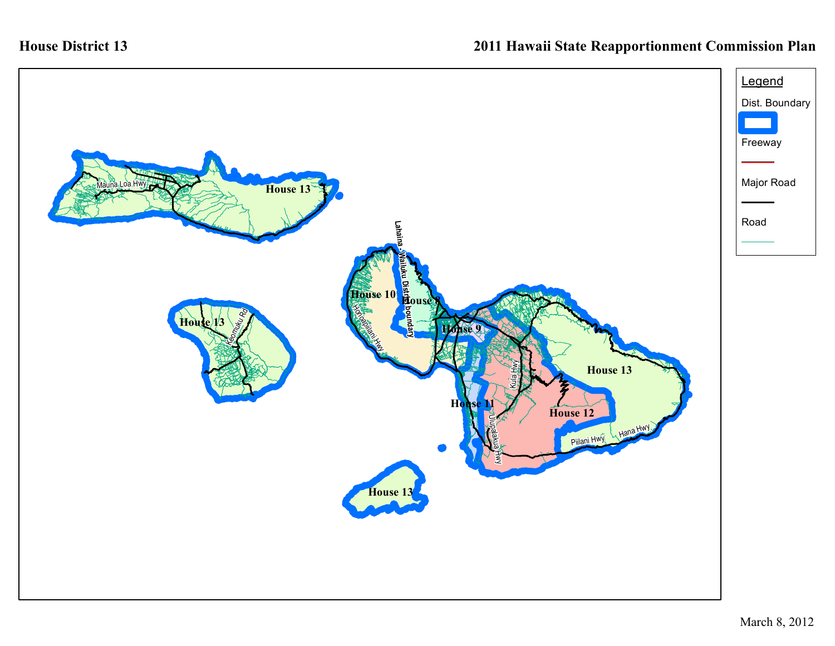## **House District 13**